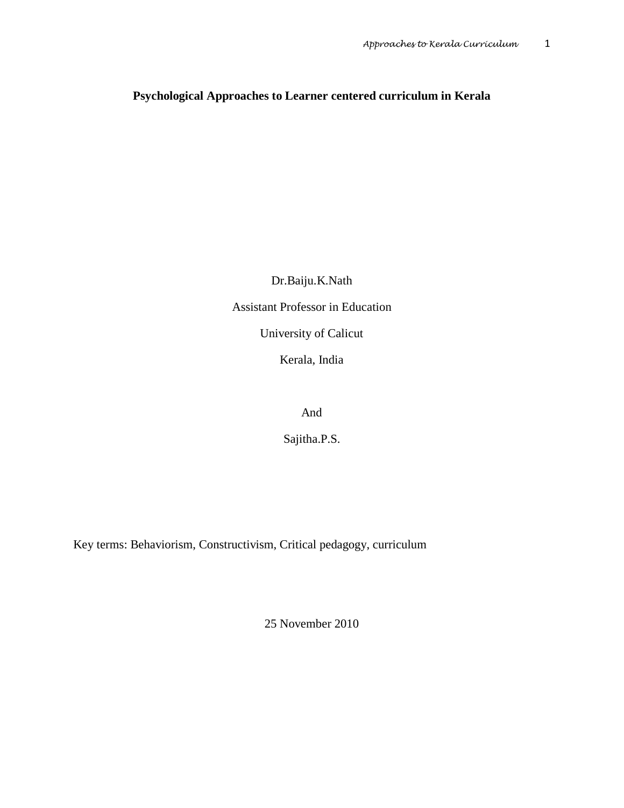## **Psychological Approaches to Learner centered curriculum in Kerala**

Dr.Baiju.K.Nath

Assistant Professor in Education

University of Calicut

Kerala, India

And

Sajitha.P.S.

Key terms: Behaviorism, Constructivism, Critical pedagogy, curriculum

25 November 2010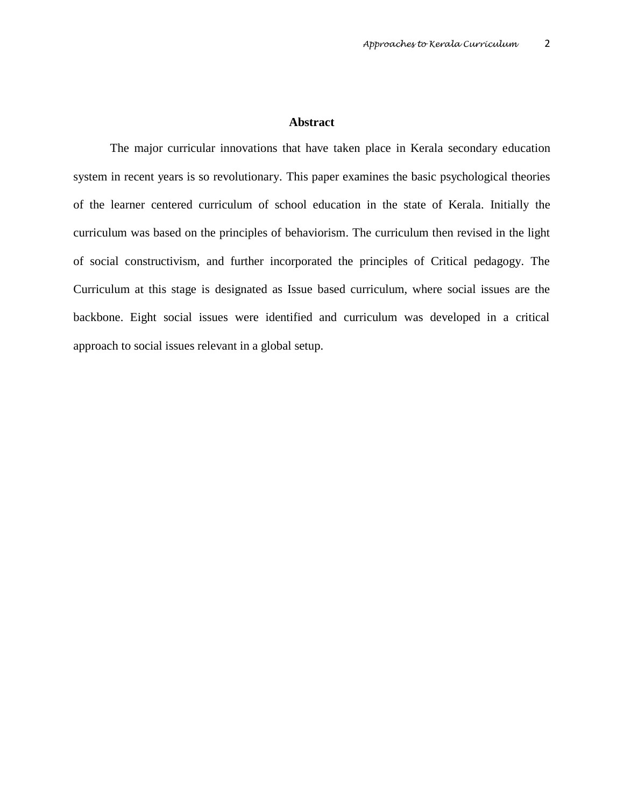## **Abstract**

The major curricular innovations that have taken place in Kerala secondary education system in recent years is so revolutionary. This paper examines the basic psychological theories of the learner centered curriculum of school education in the state of Kerala. Initially the curriculum was based on the principles of behaviorism. The curriculum then revised in the light of social constructivism, and further incorporated the principles of Critical pedagogy. The Curriculum at this stage is designated as Issue based curriculum, where social issues are the backbone. Eight social issues were identified and curriculum was developed in a critical approach to social issues relevant in a global setup.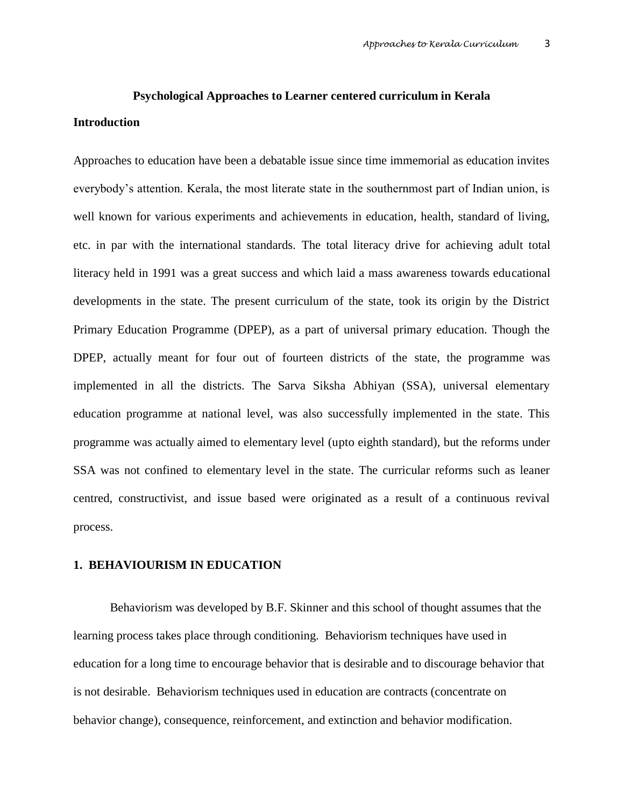# **Psychological Approaches to Learner centered curriculum in Kerala Introduction**

Approaches to education have been a debatable issue since time immemorial as education invites everybody's attention. Kerala, the most literate state in the southernmost part of Indian union, is well known for various experiments and achievements in education, health, standard of living, etc. in par with the international standards. The total literacy drive for achieving adult total literacy held in 1991 was a great success and which laid a mass awareness towards educational developments in the state. The present curriculum of the state, took its origin by the District Primary Education Programme (DPEP), as a part of universal primary education. Though the DPEP, actually meant for four out of fourteen districts of the state, the programme was implemented in all the districts. The Sarva Siksha Abhiyan (SSA), universal elementary education programme at national level, was also successfully implemented in the state. This programme was actually aimed to elementary level (upto eighth standard), but the reforms under SSA was not confined to elementary level in the state. The curricular reforms such as leaner centred, constructivist, and issue based were originated as a result of a continuous revival process.

### **1. BEHAVIOURISM IN EDUCATION**

 Behaviorism was developed by B.F. Skinner and this school of thought assumes that the learning process takes place through conditioning. Behaviorism techniques have used in education for a long time to encourage behavior that is desirable and to discourage behavior that is not desirable. Behaviorism techniques used in education are contracts (concentrate on behavior change), consequence, reinforcement, and extinction and behavior modification.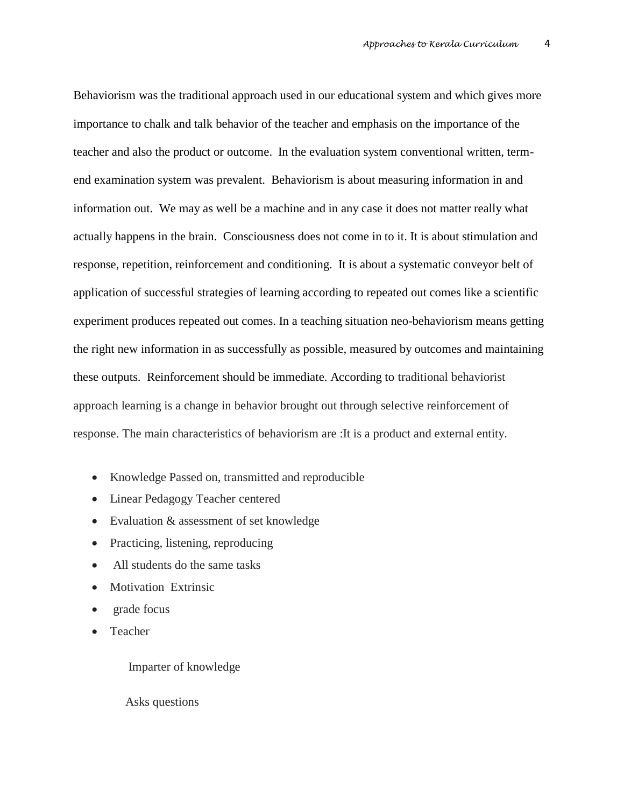Behaviorism was the traditional approach used in our educational system and which gives more importance to chalk and talk behavior of the teacher and emphasis on the importance of the teacher and also the product or outcome. In the evaluation system conventional written, termend examination system was prevalent. Behaviorism is about measuring information in and information out. We may as well be a machine and in any case it does not matter really what actually happens in the brain. Consciousness does not come in to it. It is about stimulation and response, repetition, reinforcement and conditioning. It is about a systematic conveyor belt of application of successful strategies of learning according to repeated out comes like a scientific experiment produces repeated out comes. In a teaching situation neo-behaviorism means getting the right new information in as successfully as possible, measured by outcomes and maintaining these outputs. Reinforcement should be immediate. According to traditional behaviorist approach learning is a change in behavior brought out through selective reinforcement of response. The main characteristics of behaviorism are :It is a product and external entity.

- Knowledge Passed on, transmitted and reproducible
- Linear Pedagogy Teacher centered
- Evaluation & assessment of set knowledge
- Practicing, listening, reproducing
- All students do the same tasks
- Motivation Extrinsic
- grade focus
- Teacher

Imparter of knowledge

Asks questions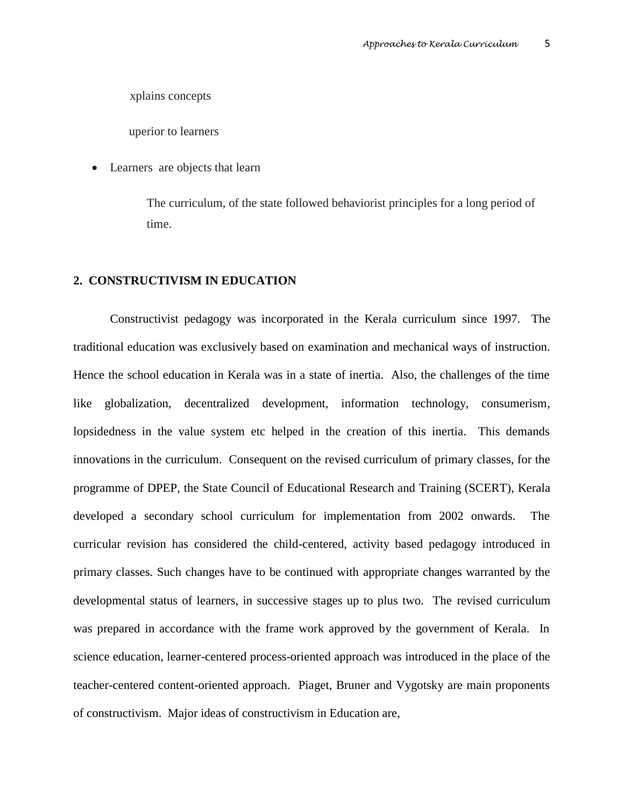xplains concepts

uperior to learners

Learners are objects that learn

The curriculum, of the state followed behaviorist principles for a long period of time.

### **2. CONSTRUCTIVISM IN EDUCATION**

 Constructivist pedagogy was incorporated in the Kerala curriculum since 1997. The traditional education was exclusively based on examination and mechanical ways of instruction. Hence the school education in Kerala was in a state of inertia. Also, the challenges of the time like globalization, decentralized development, information technology, consumerism, lopsidedness in the value system etc helped in the creation of this inertia. This demands innovations in the curriculum. Consequent on the revised curriculum of primary classes, for the programme of DPEP, the State Council of Educational Research and Training (SCERT), Kerala developed a secondary school curriculum for implementation from 2002 onwards. The curricular revision has considered the child-centered, activity based pedagogy introduced in primary classes. Such changes have to be continued with appropriate changes warranted by the developmental status of learners, in successive stages up to plus two. The revised curriculum was prepared in accordance with the frame work approved by the government of Kerala. In science education, learner-centered process-oriented approach was introduced in the place of the teacher-centered content-oriented approach. Piaget, Bruner and Vygotsky are main proponents of constructivism. Major ideas of constructivism in Education are,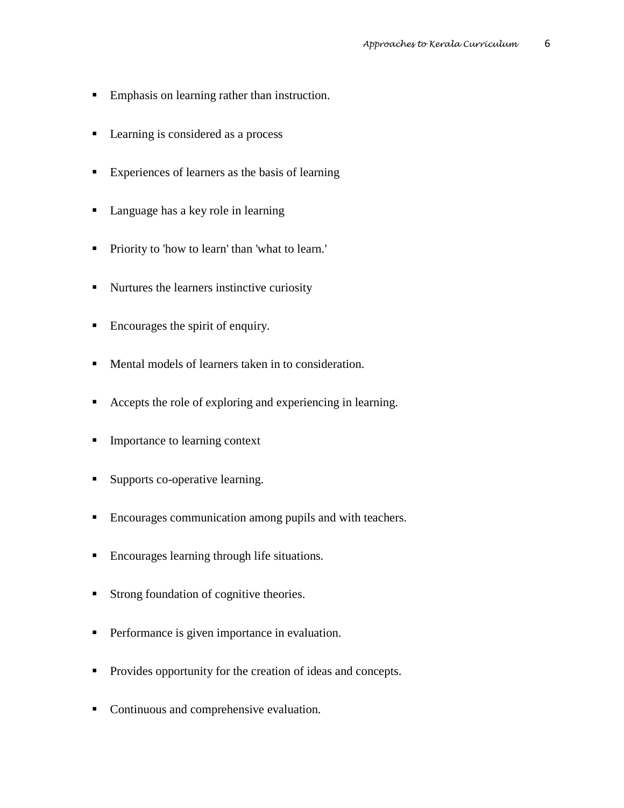- **Emphasis on learning rather than instruction.**
- Learning is considered as a process
- Experiences of learners as the basis of learning
- Language has a key role in learning
- **Priority to 'how to learn' than 'what to learn.'**
- Nurtures the learners instinctive curiosity
- Encourages the spirit of enquiry.
- Mental models of learners taken in to consideration.
- Accepts the role of exploring and experiencing in learning.
- **Importance to learning context**
- **Supports co-operative learning.**
- **Encourages communication among pupils and with teachers.**
- **Encourages learning through life situations.**
- Strong foundation of cognitive theories.
- **Performance is given importance in evaluation.**
- Provides opportunity for the creation of ideas and concepts.
- Continuous and comprehensive evaluation.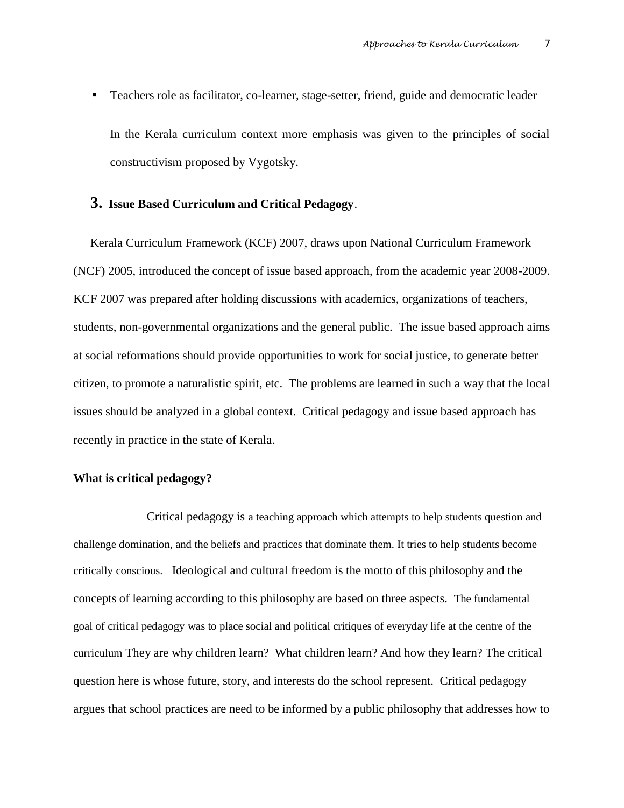Teachers role as facilitator, co-learner, stage-setter, friend, guide and democratic leader In the Kerala curriculum context more emphasis was given to the principles of social constructivism proposed by Vygotsky.

## **3. Issue Based Curriculum and Critical Pedagogy**.

Kerala Curriculum Framework (KCF) 2007, draws upon National Curriculum Framework (NCF) 2005, introduced the concept of issue based approach, from the academic year 2008-2009. KCF 2007 was prepared after holding discussions with academics, organizations of teachers, students, non-governmental organizations and the general public. The issue based approach aims at social reformations should provide opportunities to work for social justice, to generate better citizen, to promote a naturalistic spirit, etc. The problems are learned in such a way that the local issues should be analyzed in a global context. Critical pedagogy and issue based approach has recently in practice in the state of Kerala.

## **What is critical pedagogy?**

 Critical pedagogy is a teaching approach which attempts to help students question and challenge domination, and the beliefs and practices that dominate them. It tries to help students become critically conscious. Ideological and cultural freedom is the motto of this philosophy and the concepts of learning according to this philosophy are based on three aspects. The fundamental goal of critical pedagogy was to place social and political critiques of everyday life at the centre of the curriculum They are why children learn? What children learn? And how they learn? The critical question here is whose future, story, and interests do the school represent. Critical pedagogy argues that school practices are need to be informed by a public philosophy that addresses how to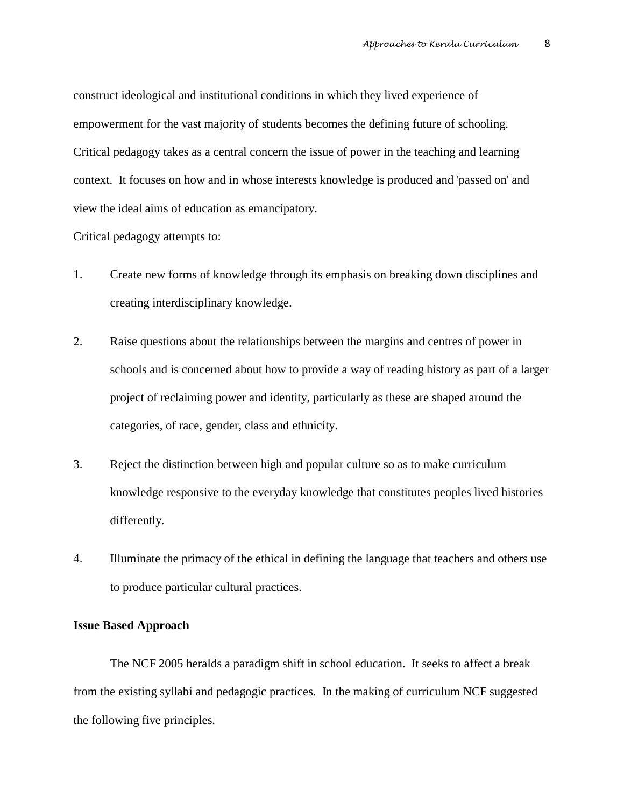construct ideological and institutional conditions in which they lived experience of empowerment for the vast majority of students becomes the defining future of schooling. Critical pedagogy takes as a central concern the issue of power in the teaching and learning context. It focuses on how and in whose interests knowledge is produced and 'passed on' and view the ideal aims of education as emancipatory.

Critical pedagogy attempts to:

- 1. Create new forms of knowledge through its emphasis on breaking down disciplines and creating interdisciplinary knowledge.
- 2. Raise questions about the relationships between the margins and centres of power in schools and is concerned about how to provide a way of reading history as part of a larger project of reclaiming power and identity, particularly as these are shaped around the categories, of race, gender, class and ethnicity.
- 3. Reject the distinction between high and popular culture so as to make curriculum knowledge responsive to the everyday knowledge that constitutes peoples lived histories differently.
- 4. Illuminate the primacy of the ethical in defining the language that teachers and others use to produce particular cultural practices.

## **Issue Based Approach**

 The NCF 2005 heralds a paradigm shift in school education. It seeks to affect a break from the existing syllabi and pedagogic practices. In the making of curriculum NCF suggested the following five principles.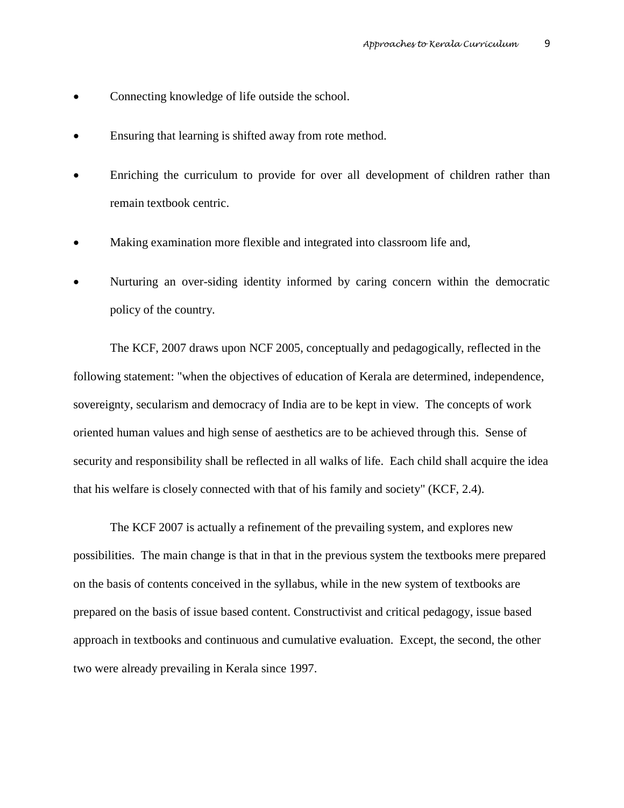- Connecting knowledge of life outside the school.
- Ensuring that learning is shifted away from rote method.
- Enriching the curriculum to provide for over all development of children rather than remain textbook centric.
- Making examination more flexible and integrated into classroom life and,
- Nurturing an over-siding identity informed by caring concern within the democratic policy of the country.

 The KCF, 2007 draws upon NCF 2005, conceptually and pedagogically, reflected in the following statement: "when the objectives of education of Kerala are determined, independence, sovereignty, secularism and democracy of India are to be kept in view. The concepts of work oriented human values and high sense of aesthetics are to be achieved through this. Sense of security and responsibility shall be reflected in all walks of life. Each child shall acquire the idea that his welfare is closely connected with that of his family and society" (KCF, 2.4).

 The KCF 2007 is actually a refinement of the prevailing system, and explores new possibilities. The main change is that in that in the previous system the textbooks mere prepared on the basis of contents conceived in the syllabus, while in the new system of textbooks are prepared on the basis of issue based content. Constructivist and critical pedagogy, issue based approach in textbooks and continuous and cumulative evaluation. Except, the second, the other two were already prevailing in Kerala since 1997.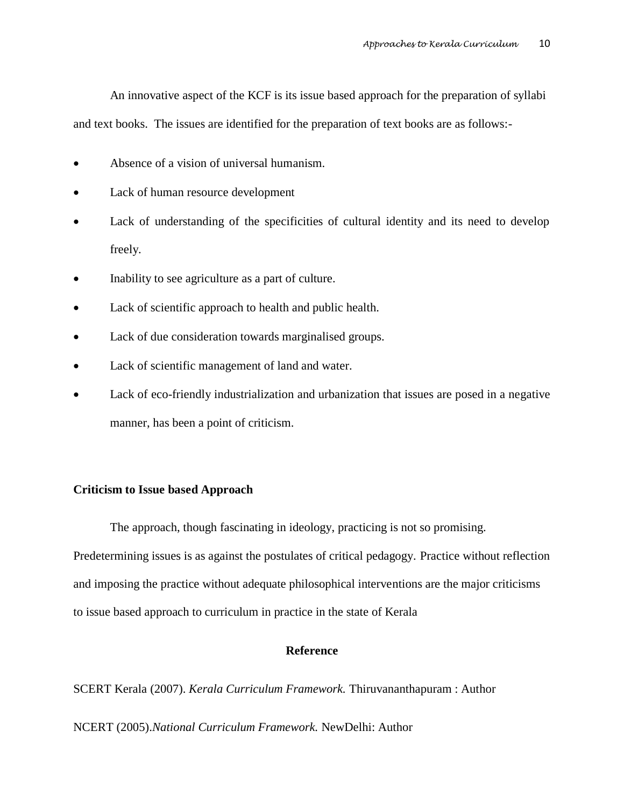An innovative aspect of the KCF is its issue based approach for the preparation of syllabi

and text books. The issues are identified for the preparation of text books are as follows:-

- Absence of a vision of universal humanism.
- Lack of human resource development
- Lack of understanding of the specificities of cultural identity and its need to develop freely.
- Inability to see agriculture as a part of culture.
- Lack of scientific approach to health and public health.
- Lack of due consideration towards marginalised groups.
- Lack of scientific management of land and water.
- Lack of eco-friendly industrialization and urbanization that issues are posed in a negative manner, has been a point of criticism.

## **Criticism to Issue based Approach**

The approach, though fascinating in ideology, practicing is not so promising.

Predetermining issues is as against the postulates of critical pedagogy. Practice without reflection and imposing the practice without adequate philosophical interventions are the major criticisms to issue based approach to curriculum in practice in the state of Kerala

## **Reference**

SCERT Kerala (2007). *Kerala Curriculum Framework.* Thiruvananthapuram : Author

NCERT (2005).*National Curriculum Framework.* NewDelhi: Author